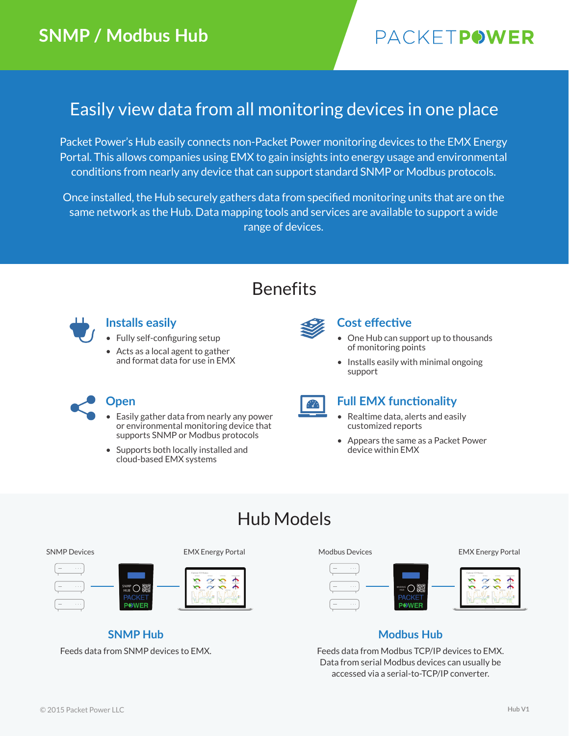# PACKETPOWER

### Easily view data from all monitoring devices in one place

Packet Power's Hub easily connects non-Packet Power monitoring devices to the EMX Energy Portal. This allows companies using EMX to gain insights into energy usage and environmental conditions from nearly any device that can support standard SNMP or Modbus protocols.

Once installed, the Hub securely gathers data from specified monitoring units that are on the same network as the Hub. Data mapping tools and services are available to support a wide range of devices.

### Benefits



### **Installs easily**

- Fully self-configuring setup
- Acts as a local agent to gather and format data for use in EMX



### **Cost effective**

- One Hub can support up to thousands of monitoring points
- Installs easily with minimal ongoing support

- Easily gather data from nearly any power or environmental monitoring device that supports SNMP or Modbus protocols
- Supports both locally installed and cloud-based EMX systems



#### **Open Full EMX functionality**

- Realtime data, alerts and easily customized reports
- Appears the same as a Packet Power device within EMX

### Hub Models



**SNMP Hub** Feeds data from SNMP devices to EMX.



### **Modbus Hub**

Feeds data from Modbus TCP/IP devices to EMX. Data from serial Modbus devices can usually be accessed via a serial-to-TCP/IP converter.